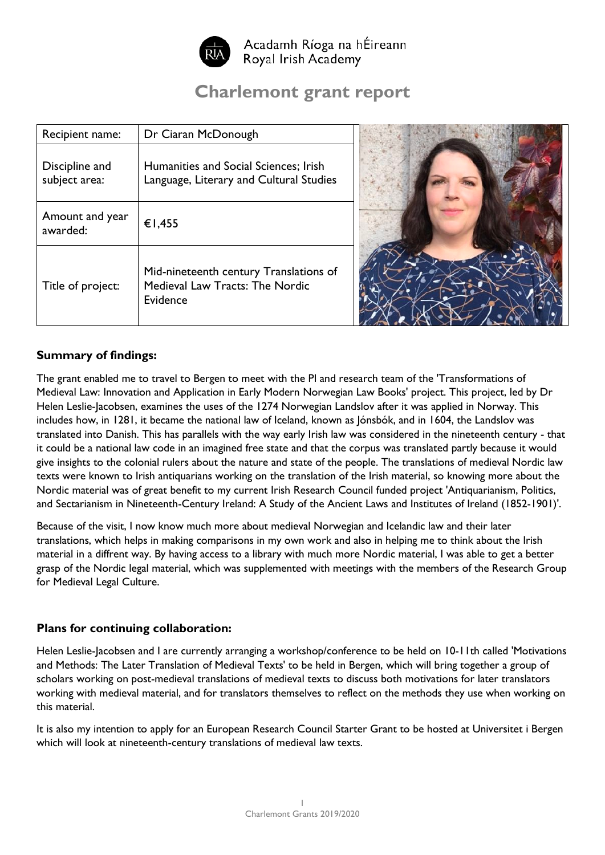

Acadamh Ríoga na hÉireann Royal Irish Academy

# **Charlemont grant report**

| Recipient name:                 | Dr Ciaran McDonough                                                                   |  |
|---------------------------------|---------------------------------------------------------------------------------------|--|
| Discipline and<br>subject area: | Humanities and Social Sciences; Irish<br>Language, Literary and Cultural Studies      |  |
| Amount and year<br>awarded:     | €1,455                                                                                |  |
| Title of project:               | Mid-nineteenth century Translations of<br>Medieval Law Tracts: The Nordic<br>Evidence |  |

## **Summary of findings:**

The grant enabled me to travel to Bergen to meet with the PI and research team of the 'Transformations of Medieval Law: Innovation and Application in Early Modern Norwegian Law Books' project. This project, led by Dr Helen Leslie-Jacobsen, examines the uses of the 1274 Norwegian Landslov after it was applied in Norway. This includes how, in 1281, it became the national law of Iceland, known as Jónsbók, and in 1604, the Landslov was translated into Danish. This has parallels with the way early Irish law was considered in the nineteenth century - that it could be a national law code in an imagined free state and that the corpus was translated partly because it would give insights to the colonial rulers about the nature and state of the people. The translations of medieval Nordic law texts were known to Irish antiquarians working on the translation of the Irish material, so knowing more about the Nordic material was of great benefit to my current Irish Research Council funded project 'Antiquarianism, Politics, and Sectarianism in Nineteenth-Century Ireland: A Study of the Ancient Laws and Institutes of Ireland (1852-1901)'.

Because of the visit, I now know much more about medieval Norwegian and Icelandic law and their later translations, which helps in making comparisons in my own work and also in helping me to think about the Irish material in a diffrent way. By having access to a library with much more Nordic material, I was able to get a better grasp of the Nordic legal material, which was supplemented with meetings with the members of the Research Group for Medieval Legal Culture.

### **Plans for continuing collaboration:**

Helen Leslie-Jacobsen and I are currently arranging a workshop/conference to be held on 10-11th called 'Motivations and Methods: The Later Translation of Medieval Texts' to be held in Bergen, which will bring together a group of scholars working on post-medieval translations of medieval texts to discuss both motivations for later translators working with medieval material, and for translators themselves to reflect on the methods they use when working on this material.

It is also my intention to apply for an European Research Council Starter Grant to be hosted at Universitet i Bergen which will look at nineteenth-century translations of medieval law texts.